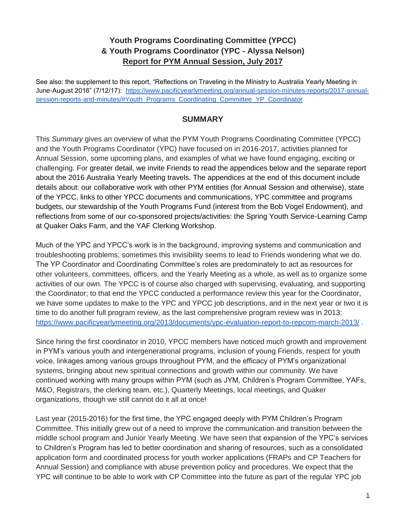### **Youth Programs Coordinating Committee (YPCC) & Youth Programs Coordinator (YPC - Alyssa Nelson) Report for PYM Annual Session, July 2017**

See also: the supplement to this report, "Reflections on Traveling in the Ministry to Australia Yearly Meeting in June-August 2016" (7/12/17): [https://www.pacificyearlymeeting.org/annual-session-minutes-reports/2017-annual](https://www.pacificyearlymeeting.org/annual-session-minutes-reports/2017-annual-session-reports-and-minutes/#Youth_Programs_Coordinating_Committee_YP_Coordinator)[session-reports-and-minutes/#Youth\\_Programs\\_Coordinating\\_Committee\\_YP\\_Coordinator](https://www.pacificyearlymeeting.org/annual-session-minutes-reports/2017-annual-session-reports-and-minutes/#Youth_Programs_Coordinating_Committee_YP_Coordinator)

#### **SUMMARY**

This *Summary* gives an overview of what the PYM Youth Programs Coordinating Committee (YPCC) and the Youth Programs Coordinator (YPC) have focused on in 2016-2017, activities planned for Annual Session, some upcoming plans, and examples of what we have found engaging, exciting or challenging. For greater detail, we invite Friends to read the appendices below and the separate report about the 2016 Australia Yearly Meeting travels. The appendices at the end of this document include details about: our collaborative work with other PYM entities (for Annual Session and otherwise), state of the YPCC, links to other YPCC documents and communications, YPC committee and programs budgets, our stewardship of the Youth Programs Fund (interest from the Bob Vogel Endowment), and reflections from some of our co-sponsored projects/activities: the Spring Youth Service-Learning Camp at Quaker Oaks Farm, and the YAF Clerking Workshop.

Much of the YPC and YPCC's work is in the background, improving systems and communication and troubleshooting problems; sometimes this invisibility seems to lead to Friends wondering what we do. The YP Coordinator and Coordinating Committee's roles are predominately to act as resources for other volunteers, committees, officers, and the Yearly Meeting as a whole, as well as to organize some activities of our own. The YPCC is of course also charged with supervising, evaluating, and supporting the Coordinator; to that end the YPCC conducted a performance review this year for the Coordinator, we have some updates to make to the YPC and YPCC job descriptions, and in the next year or two it is time to do another full program review, as the last comprehensive program review was in 2013: <https://www.pacificyearlymeeting.org/2013/documents/ypc-evaluation-report-to-repcom-march-2013/> .

Since hiring the first coordinator in 2010, YPCC members have noticed much growth and improvement in PYM's various youth and intergenerational programs, inclusion of young Friends, respect for youth voice, linkages among various groups throughout PYM, and the efficacy of PYM's organizational systems, bringing about new spiritual connections and growth within our community. We have continued working with many groups within PYM (such as JYM, Children's Program Committee, YAFs, M&O, Registrars, the clerking team, etc.), Quarterly Meetings, local meetings, and Quaker organizations, though we still cannot do it all at once!

Last year (2015-2016) for the first time, the YPC engaged deeply with PYM Children's Program Committee. This initially grew out of a need to improve the communication and transition between the middle school program and Junior Yearly Meeting. We have seen that expansion of the YPC's services to Children's Program has led to better coordination and sharing of resources, such as a consolidated application form and coordinated process for youth worker applications (FRAPs and CP Teachers for Annual Session) and compliance with abuse prevention policy and procedures. We expect that the YPC will continue to be able to work with CP Committee into the future as part of the regular YPC job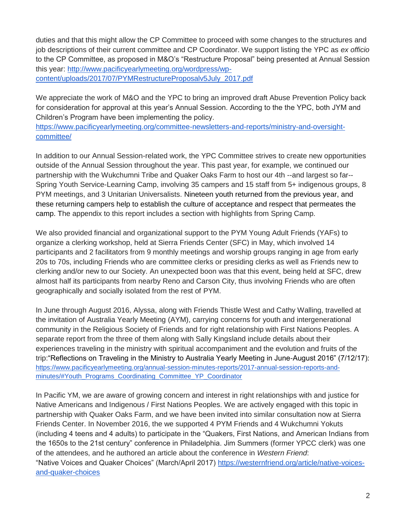duties and that this might allow the CP Committee to proceed with some changes to the structures and job descriptions of their current committee and CP Coordinator. We support listing the YPC as *ex officio* to the CP Committee, as proposed in M&O's "Restructure Proposal" being presented at Annual Session this year: [http://www.pacificyearlymeeting.org/wordpress/wp](http://www.pacificyearlymeeting.org/wordpress/wp-content/uploads/2017/07/PYMRestructureProposalv5July_2017.pdf)[content/uploads/2017/07/PYMRestructureProposalv5July\\_2017.pdf](http://www.pacificyearlymeeting.org/wordpress/wp-content/uploads/2017/07/PYMRestructureProposalv5July_2017.pdf)

We appreciate the work of M&O and the YPC to bring an improved draft Abuse Prevention Policy back for consideration for approval at this year's Annual Session. According to the the YPC, both JYM and Children's Program have been implementing the policy.

[https://www.pacificyearlymeeting.org/committee-newsletters-and-reports/ministry-and-oversight](https://www.pacificyearlymeeting.org/committee-newsletters-and-reports/ministry-and-oversight-committee/)[committee/](https://www.pacificyearlymeeting.org/committee-newsletters-and-reports/ministry-and-oversight-committee/)

In addition to our Annual Session-related work, the YPC Committee strives to create new opportunities outside of the Annual Session throughout the year. This past year, for example, we continued our partnership with the Wukchumni Tribe and Quaker Oaks Farm to host our 4th --and largest so far-- Spring Youth Service-Learning Camp, involving 35 campers and 15 staff from 5+ indigenous groups, 8 PYM meetings, and 3 Unitarian Universalists. Nineteen youth returned from the previous year, and these returning campers help to establish the culture of acceptance and respect that permeates the camp. The appendix to this report includes a section with highlights from Spring Camp.

We also provided financial and organizational support to the PYM Young Adult Friends (YAFs) to organize a clerking workshop, held at Sierra Friends Center (SFC) in May, which involved 14 participants and 2 facilitators from 9 monthly meetings and worship groups ranging in age from early 20s to 70s, including Friends who are committee clerks or presiding clerks as well as Friends new to clerking and/or new to our Society. An unexpected boon was that this event, being held at SFC, drew almost half its participants from nearby Reno and Carson City, thus involving Friends who are often geographically and socially isolated from the rest of PYM.

In June through August 2016, Alyssa, along with Friends Thistle West and Cathy Walling, travelled at the invitation of Australia Yearly Meeting (AYM), carrying concerns for youth and intergenerational community in the Religious Society of Friends and for right relationship with First Nations Peoples. A separate report from the three of them along with Sally Kingsland include details about their experiences traveling in the ministry with spiritual accompaniment and the evolution and fruits of the trip:"Reflections on Traveling in the Ministry to Australia Yearly Meeting in June-August 2016" (7/12/17): [https://www.pacificyearlymeeting.org/annual-session-minutes-reports/2017-annual-session-reports-and](https://www.pacificyearlymeeting.org/annual-session-minutes-reports/2017-annual-session-reports-and-minutes/#Youth_Programs_Coordinating_Committee_YP_Coordinator)[minutes/#Youth\\_Programs\\_Coordinating\\_Committee\\_YP\\_Coordinator](https://www.pacificyearlymeeting.org/annual-session-minutes-reports/2017-annual-session-reports-and-minutes/#Youth_Programs_Coordinating_Committee_YP_Coordinator)

In Pacific YM, we are aware of growing concern and interest in right relationships with and justice for Native Americans and Indigenous / First Nations Peoples. We are actively engaged with this topic in partnership with Quaker Oaks Farm, and we have been invited into similar consultation now at Sierra Friends Center. In November 2016, the we supported 4 PYM Friends and 4 Wukchumni Yokuts (including 4 teens and 4 adults) to participate in the "Quakers, First Nations, and American Indians from the 1650s to the 21st century" conference in Philadelphia. Jim Summers (former YPCC clerk) was one of the attendees, and he authored an article about the conference in *Western Friend*: "Native Voices and Quaker Choices" (March/April 2017) [https://westernfriend.org/article/native-voices](https://westernfriend.org/article/native-voices-and-quaker-choices)[and-quaker-choices](https://westernfriend.org/article/native-voices-and-quaker-choices)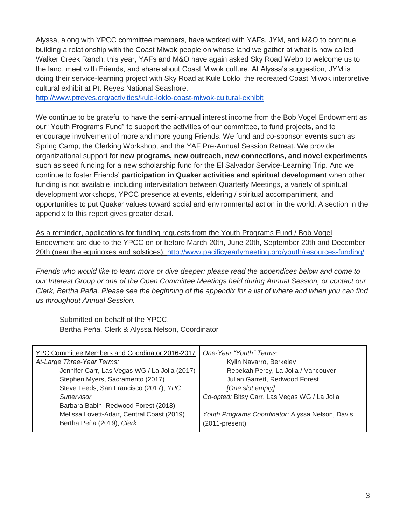Alyssa, along with YPCC committee members, have worked with YAFs, JYM, and M&O to continue building a relationship with the Coast Miwok people on whose land we gather at what is now called Walker Creek Ranch; this year, YAFs and M&O have again asked Sky Road Webb to welcome us to the land, meet with Friends, and share about Coast Miwok culture. At Alyssa's suggestion, JYM is doing their service-learning project with Sky Road at Kule Loklo, the recreated Coast Miwok interpretive cultural exhibit at Pt. Reyes National Seashore.

<http://www.ptreyes.org/activities/kule-loklo-coast-miwok-cultural-exhibit>

We continue to be grateful to have the semi-annual interest income from the Bob Vogel Endowment as our "Youth Programs Fund" to support the activities of our committee, to fund projects, and to encourage involvement of more and more young Friends. We fund and co-sponsor **events** such as Spring Camp, the Clerking Workshop, and the YAF Pre-Annual Session Retreat. We provide organizational support for **new programs, new outreach, new connections, and novel experiments** such as seed funding for a new scholarship fund for the El Salvador Service-Learning Trip. And we continue to foster Friends' **participation in Quaker activities and spiritual development** when other funding is not available, including intervisitation between Quarterly Meetings, a variety of spiritual development workshops, YPCC presence at events, eldering / spiritual accompaniment, and opportunities to put Quaker values toward social and environmental action in the world. A section in the appendix to this report gives greater detail.

As a reminder, applications for funding requests from the Youth Programs Fund / Bob Vogel Endowment are due to the YPCC on or before March 20th, June 20th, September 20th and December 20th (near the equinoxes and solstices)[.](http://www.pacificyearlymeeting.org/youth/resources-funding/) <http://www.pacificyearlymeeting.org/youth/resources-funding/>

*Friends who would like to learn more or dive deeper: please read the appendices below and come to our Interest Group or one of the Open Committee Meetings held during Annual Session, or contact our Clerk, Bertha Peña. Please see the beginning of the appendix for a list of where and when you can find us throughout Annual Session.*

Submitted on behalf of the YPCC, Bertha Peña, Clerk & Alyssa Nelson, Coordinator

| YPC Committee Members and Coordinator 2016-2017 | One-Year "Youth" Terms:                          |
|-------------------------------------------------|--------------------------------------------------|
| At-Large Three-Year Terms:                      | Kylin Navarro, Berkeley                          |
| Jennifer Carr, Las Vegas WG / La Jolla (2017)   | Rebekah Percy, La Jolla / Vancouver              |
| Stephen Myers, Sacramento (2017)                | Julian Garrett, Redwood Forest                   |
| Steve Leeds, San Francisco (2017), YPC          | [One slot empty]                                 |
| Supervisor                                      | Co-opted: Bitsy Carr, Las Vegas WG / La Jolla    |
| Barbara Babin, Redwood Forest (2018)            |                                                  |
| Melissa Lovett-Adair, Central Coast (2019)      | Youth Programs Coordinator: Alyssa Nelson, Davis |
| Bertha Peña (2019), Clerk                       | (2011-present)                                   |
|                                                 |                                                  |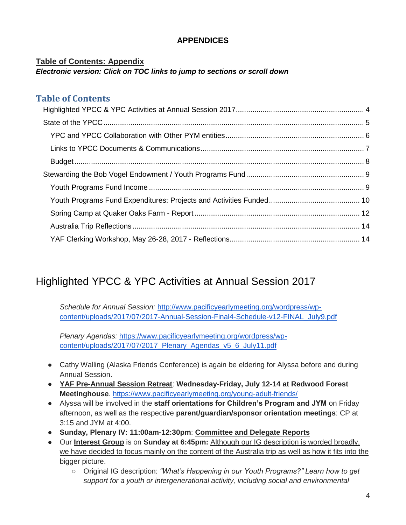### **APPENDICES**

#### **Table of Contents: Appendix** *Electronic version: Click on TOC links to jump to sections or scroll down*

## **Table of Contents**

# <span id="page-3-0"></span>Highlighted YPCC & YPC Activities at Annual Session 2017

*Schedule for Annual Session:* [http://www.pacificyearlymeeting.org/wordpress/wp](http://www.pacificyearlymeeting.org/wordpress/wp-content/uploads/2017/07/2017-Annual-Session-Final4-Schedule-v12-FINAL_July9.pdf)[content/uploads/2017/07/2017-Annual-Session-Final4-Schedule-v12-FINAL\\_July9.pdf](http://www.pacificyearlymeeting.org/wordpress/wp-content/uploads/2017/07/2017-Annual-Session-Final4-Schedule-v12-FINAL_July9.pdf)

*Plenary Agendas:* [https://www.pacificyearlymeeting.org/wordpress/wp](https://www.pacificyearlymeeting.org/wordpress/wp-content/uploads/2017/07/2017_Plenary_Agendas_v5_6_July11.pdf)[content/uploads/2017/07/2017\\_Plenary\\_Agendas\\_v5\\_6\\_July11.pdf](https://www.pacificyearlymeeting.org/wordpress/wp-content/uploads/2017/07/2017_Plenary_Agendas_v5_6_July11.pdf)

- Cathy Walling (Alaska Friends Conference) is again be eldering for Alyssa before and during Annual Session.
- **YAF Pre-Annual Session Retreat**: **Wednesday-Friday, July 12-14 at Redwood Forest Meetinghouse**.<https://www.pacificyearlymeeting.org/young-adult-friends/>
- Alyssa will be involved in the **staff orientations for Children's Program and JYM** on Friday afternoon, as well as the respective **parent/guardian/sponsor orientation meetings**: CP at 3:15 and JYM at 4:00.
- **Sunday, Plenary IV: 11:00am-12:30pm**: **Committee and Delegate Reports**
- Our **Interest Group** is on **Sunday at 6:45pm:** Although our IG description is worded broadly, we have decided to focus mainly on the content of the Australia trip as well as how it fits into the bigger picture.
	- Original IG description: *"What's Happening in our Youth Programs?" Learn how to get support for a youth or intergenerational activity, including social and environmental*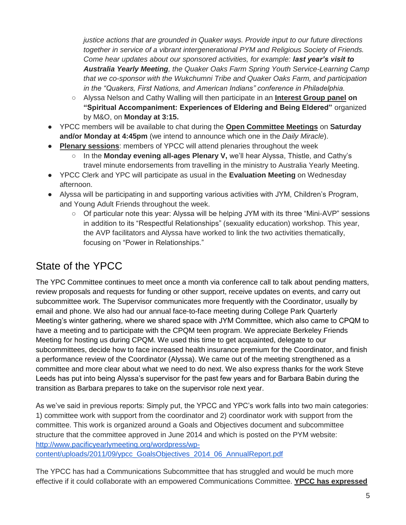*justice actions that are grounded in Quaker ways. Provide input to our future directions together in service of a vibrant intergenerational PYM and Religious Society of Friends. Come hear updates about our sponsored activities, for example: last year's visit to Australia Yearly Meeting, the Quaker Oaks Farm Spring Youth Service-Learning Camp that we co-sponsor with the Wukchumni Tribe and Quaker Oaks Farm, and participation in the "Quakers, First Nations, and American Indians" conference in Philadelphia.*

- Alyssa Nelson and Cathy Walling will then participate in an **Interest Group panel on "Spiritual Accompaniment: Experiences of Eldering and Being Eldered"** organized by M&O, on **Monday at 3:15.**
- YPCC members will be available to chat during the **Open Committee Meetings** on **Saturday and/or Monday at 4:45pm** (we intend to announce which one in the *Daily Miracle*).
- **Plenary sessions**: members of YPCC will attend plenaries throughout the week
	- In the **Monday evening all-ages Plenary V**, we'll hear Alyssa, Thistle, and Cathy's travel minute endorsements from travelling in the ministry to Australia Yearly Meeting.
- YPCC Clerk and YPC will participate as usual in the **Evaluation Meeting** on Wednesday afternoon.
- Alyssa will be participating in and supporting various activities with JYM, Children's Program, and Young Adult Friends throughout the week.
	- Of particular note this year: Alyssa will be helping JYM with its three "Mini-AVP" sessions in addition to its "Respectful Relationships" (sexuality education) workshop. This year, the AVP facilitators and Alyssa have worked to link the two activities thematically, focusing on "Power in Relationships."

# <span id="page-4-0"></span>State of the YPCC

The YPC Committee continues to meet once a month via conference call to talk about pending matters, review proposals and requests for funding or other support, receive updates on events, and carry out subcommittee work. The Supervisor communicates more frequently with the Coordinator, usually by email and phone. We also had our annual face-to-face meeting during College Park Quarterly Meeting's winter gathering, where we shared space with JYM Committee, which also came to CPQM to have a meeting and to participate with the CPQM teen program. We appreciate Berkeley Friends Meeting for hosting us during CPQM. We used this time to get acquainted, delegate to our subcommittees, decide how to face increased health insurance premium for the Coordinator, and finish a performance review of the Coordinator (Alyssa). We came out of the meeting strengthened as a committee and more clear about what we need to do next. We also express thanks for the work Steve Leeds has put into being Alyssa's supervisor for the past few years and for Barbara Babin during the transition as Barbara prepares to take on the supervisor role next year.

As we've said in previous reports: Simply put, the YPCC and YPC's work falls into two main categories: 1) committee work with support from the coordinator and 2) coordinator work with support from the committee. This work is organized around a Goals and Objectives document and subcommittee structure that the committee approved in June 2014 and which is posted on the PYM website[:](http://www.pacificyearlymeeting.org/wordpress/wp-content/uploads/2011/09/ypcc_GoalsObjectives_2014_06_AnnualReport.pdf) [http://www.pacificyearlymeeting.org/wordpress/wp](http://www.pacificyearlymeeting.org/wordpress/wp-content/uploads/2011/09/ypcc_GoalsObjectives_2014_06_AnnualReport.pdf)[content/uploads/2011/09/ypcc\\_GoalsObjectives\\_2014\\_06\\_AnnualReport.pdf](http://www.pacificyearlymeeting.org/wordpress/wp-content/uploads/2011/09/ypcc_GoalsObjectives_2014_06_AnnualReport.pdf)

The YPCC has had a Communications Subcommittee that has struggled and would be much more effective if it could collaborate with an empowered Communications Committee. **YPCC has expressed**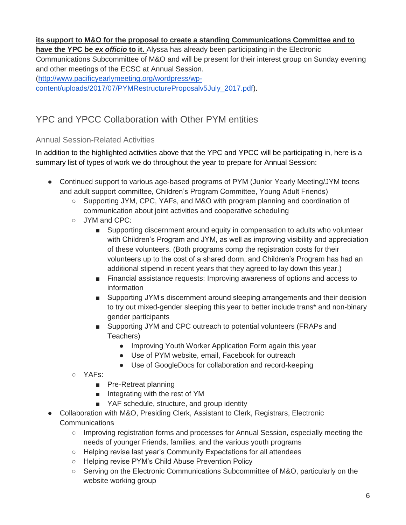#### **its support to M&O for the proposal to create a standing Communications Committee and to**

**have the YPC be** *ex officio* **to it.** Alyssa has already been participating in the Electronic Communications Subcommittee of M&O and will be present for their interest group on Sunday evening and other meetings of the ECSC at Annual Session. [\(http://www.pacificyearlymeeting.org/wordpress/wp](http://www.pacificyearlymeeting.org/wordpress/wp-content/uploads/2017/07/PYMRestructureProposalv5July_2017.pdf)[content/uploads/2017/07/PYMRestructureProposalv5July\\_2017.pdf\)](http://www.pacificyearlymeeting.org/wordpress/wp-content/uploads/2017/07/PYMRestructureProposalv5July_2017.pdf).

# <span id="page-5-0"></span>YPC and YPCC Collaboration with Other PYM entities

#### Annual Session-Related Activities

In addition to the highlighted activities above that the YPC and YPCC will be participating in, here is a summary list of types of work we do throughout the year to prepare for Annual Session:

- Continued support to various age-based programs of PYM (Junior Yearly Meeting/JYM teens and adult support committee, Children's Program Committee, Young Adult Friends)
	- Supporting JYM, CPC, YAFs, and M&O with program planning and coordination of communication about joint activities and cooperative scheduling
	- JYM and CPC:
		- Supporting discernment around equity in compensation to adults who volunteer with Children's Program and JYM, as well as improving visibility and appreciation of these volunteers. (Both programs comp the registration costs for their volunteers up to the cost of a shared dorm, and Children's Program has had an additional stipend in recent years that they agreed to lay down this year.)
		- Financial assistance requests: Improving awareness of options and access to information
		- Supporting JYM's discernment around sleeping arrangements and their decision to try out mixed-gender sleeping this year to better include trans\* and non-binary gender participants
		- Supporting JYM and CPC outreach to potential volunteers (FRAPs and Teachers)
			- Improving Youth Worker Application Form again this year
			- Use of PYM website, email, Facebook for outreach
			- Use of GoogleDocs for collaboration and record-keeping
	- YAFs:
		- Pre-Retreat planning
		- Integrating with the rest of YM
		- YAF schedule, structure, and group identity
- Collaboration with M&O, Presiding Clerk, Assistant to Clerk, Registrars, Electronic **Communications** 
	- Improving registration forms and processes for Annual Session, especially meeting the needs of younger Friends, families, and the various youth programs
	- Helping revise last year's Community Expectations for all attendees
	- Helping revise PYM's Child Abuse Prevention Policy
	- Serving on the Electronic Communications Subcommittee of M&O, particularly on the website working group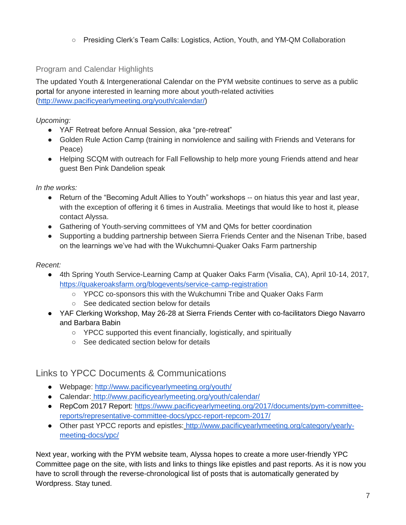○ Presiding Clerk's Team Calls: Logistics, Action, Youth, and YM-QM Collaboration

#### Program and Calendar Highlights

The updated Youth & Intergenerational Calendar on the PYM website continues to serve as a public portal for anyone interested in learning more about youth-related activities [\(http://www.pacificyearlymeeting.org/youth/calendar/\)](http://www.pacificyearlymeeting.org/youth/calendar/)

*Upcoming:*

- YAF Retreat before Annual Session, aka "pre-retreat"
- Golden Rule Action Camp (training in nonviolence and sailing with Friends and Veterans for Peace)
- Helping SCQM with outreach for Fall Fellowship to help more young Friends attend and hear guest Ben Pink Dandelion speak

*In the works:*

- Return of the "Becoming Adult Allies to Youth" workshops -- on hiatus this year and last year, with the exception of offering it 6 times in Australia. Meetings that would like to host it, please contact Alyssa.
- Gathering of Youth-serving committees of YM and QMs for better coordination
- Supporting a budding partnership between Sierra Friends Center and the Nisenan Tribe, based on the learnings we've had with the Wukchumni-Quaker Oaks Farm partnership

*Recent:*

- 4th Spring Youth Service-Learning Camp at Quaker Oaks Farm (Visalia, CA), April 10-14, 2017, <https://quakeroaksfarm.org/blogevents/service-camp-registration>
	- YPCC co-sponsors this with the Wukchumni Tribe and Quaker Oaks Farm
	- See dedicated section below for details
- YAF Clerking Workshop, May 26-28 at Sierra Friends Center with co-facilitators Diego Navarro and Barbara Babin
	- YPCC supported this event financially, logistically, and spiritually
	- See dedicated section below for details

# <span id="page-6-0"></span>Links to YPCC Documents & Communications

- Webpage[:](http://www.pacificyearlymeeting.org/youth/) <http://www.pacificyearlymeeting.org/youth/>
- Calendar[:](http://www.pacificyearlymeeting.org/youth/calendar/) <http://www.pacificyearlymeeting.org/youth/calendar/>
- RepCom 2017 Report: [https://www.pacificyearlymeeting.org/2017/documents/pym-committee](https://www.pacificyearlymeeting.org/2017/documents/pym-committee-reports/representative-committee-docs/ypcc-report-repcom-2017/)[reports/representative-committee-docs/ypcc-report-repcom-2017/](https://www.pacificyearlymeeting.org/2017/documents/pym-committee-reports/representative-committee-docs/ypcc-report-repcom-2017/)
- Other past YPCC reports and epistles[:](http://www.pacificyearlymeeting.org/category/yearly-meeting-docs/ypc/) [http://www.pacificyearlymeeting.org/category/yearly](http://www.pacificyearlymeeting.org/category/yearly-meeting-docs/ypc/)[meeting-docs/ypc/](http://www.pacificyearlymeeting.org/category/yearly-meeting-docs/ypc/)

Next year, working with the PYM website team, Alyssa hopes to create a more user-friendly YPC Committee page on the site, with lists and links to things like epistles and past reports. As it is now you have to scroll through the reverse-chronological list of posts that is automatically generated by Wordpress. Stay tuned.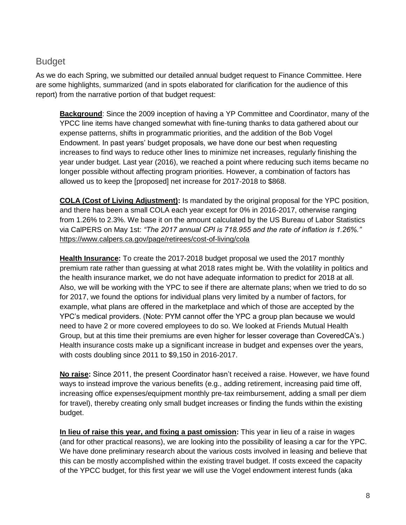## <span id="page-7-0"></span>Budget

As we do each Spring, we submitted our detailed annual budget request to Finance Committee. Here are some highlights, summarized (and in spots elaborated for clarification for the audience of this report) from the narrative portion of that budget request:

**Background**: Since the 2009 inception of having a YP Committee and Coordinator, many of the YPCC line items have changed somewhat with fine-tuning thanks to data gathered about our expense patterns, shifts in programmatic priorities, and the addition of the Bob Vogel Endowment. In past years' budget proposals, we have done our best when requesting increases to find ways to reduce other lines to minimize net increases, regularly finishing the year under budget. Last year (2016), we reached a point where reducing such items became no longer possible without affecting program priorities. However, a combination of factors has allowed us to keep the [proposed] net increase for 2017-2018 to \$868.

**COLA (Cost of Living Adjustment):** Is mandated by the original proposal for the YPC position, and there has been a small COLA each year except for 0% in 2016-2017, otherwise ranging from 1.26% to 2.3%. We base it on the amount calculated by the US Bureau of Labor Statistics via CalPERS on May 1st: *"The 2017 annual CPI is 718.955 and the rate of inflation is 1.26%.["](https://www.calpers.ca.gov/page/retirees/cost-of-living/cola)* <https://www.calpers.ca.gov/page/retirees/cost-of-living/cola>

**Health Insurance:** To create the 2017-2018 budget proposal we used the 2017 monthly premium rate rather than guessing at what 2018 rates might be. With the volatility in politics and the health insurance market, we do not have adequate information to predict for 2018 at all. Also, we will be working with the YPC to see if there are alternate plans; when we tried to do so for 2017, we found the options for individual plans very limited by a number of factors, for example, what plans are offered in the marketplace and which of those are accepted by the YPC's medical providers. (Note: PYM cannot offer the YPC a group plan because we would need to have 2 or more covered employees to do so. We looked at Friends Mutual Health Group, but at this time their premiums are even higher for lesser coverage than CoveredCA's.) Health insurance costs make up a significant increase in budget and expenses over the years, with costs doubling since 2011 to \$9,150 in 2016-2017.

**No raise:** Since 2011, the present Coordinator hasn't received a raise. However, we have found ways to instead improve the various benefits (e.g., adding retirement, increasing paid time off, increasing office expenses/equipment monthly pre-tax reimbursement, adding a small per diem for travel), thereby creating only small budget increases or finding the funds within the existing budget.

**In lieu of raise this year, and fixing a past omission:** This year in lieu of a raise in wages (and for other practical reasons), we are looking into the possibility of leasing a car for the YPC. We have done preliminary research about the various costs involved in leasing and believe that this can be mostly accomplished within the existing travel budget. If costs exceed the capacity of the YPCC budget, for this first year we will use the Vogel endowment interest funds (aka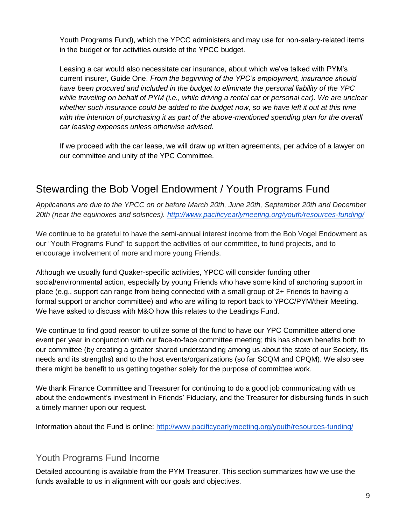Youth Programs Fund), which the YPCC administers and may use for non-salary-related items in the budget or for activities outside of the YPCC budget.

Leasing a car would also necessitate car insurance, about which we've talked with PYM's current insurer, Guide One. *From the beginning of the YPC's employment, insurance should have been procured and included in the budget to eliminate the personal liability of the YPC while traveling on behalf of PYM (i.e., while driving a rental car or personal car). We are unclear whether such insurance could be added to the budget now, so we have left it out at this time*  with the intention of purchasing it as part of the above-mentioned spending plan for the overall *car leasing expenses unless otherwise advised.*

If we proceed with the car lease, we will draw up written agreements, per advice of a lawyer on our committee and unity of the YPC Committee.

# <span id="page-8-0"></span>Stewarding the Bob Vogel Endowment / Youth Programs Fund

*Applications are due to the YPCC on or before March 20th, June 20th, September 20th and December 20th (near the equinoxes and solstices)[.](http://www.pacificyearlymeeting.org/youth/resources-funding/) <http://www.pacificyearlymeeting.org/youth/resources-funding/>*

We continue to be grateful to have the semi-annual interest income from the Bob Vogel Endowment as our "Youth Programs Fund" to support the activities of our committee, to fund projects, and to encourage involvement of more and more young Friends.

Although we usually fund Quaker-specific activities, YPCC will consider funding other social/environmental action, especially by young Friends who have some kind of anchoring support in place (e.g., support can range from being connected with a small group of 2+ Friends to having a formal support or anchor committee) and who are willing to report back to YPCC/PYM/their Meeting. We have asked to discuss with M&O how this relates to the Leadings Fund.

We continue to find good reason to utilize some of the fund to have our YPC Committee attend one event per year in conjunction with our face-to-face committee meeting; this has shown benefits both to our committee (by creating a greater shared understanding among us about the state of our Society, its needs and its strengths) and to the host events/organizations (so far SCQM and CPQM). We also see there might be benefit to us getting together solely for the purpose of committee work.

We thank Finance Committee and Treasurer for continuing to do a good job communicating with us about the endowment's investment in Friends' Fiduciary, and the Treasurer for disbursing funds in such a timely manner upon our request.

Information about the Fund is online:<http://www.pacificyearlymeeting.org/youth/resources-funding/>

## <span id="page-8-1"></span>Youth Programs Fund Income

Detailed accounting is available from the PYM Treasurer. This section summarizes how we use the funds available to us in alignment with our goals and objectives.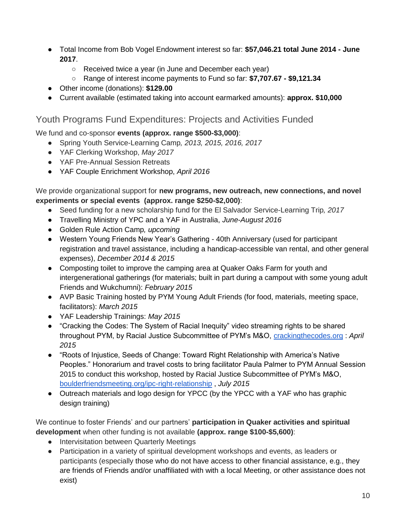- Total Income from Bob Vogel Endowment interest so far: **\$57,046.21 total June 2014 - June 2017**.
	- Received twice a year (in June and December each year)
	- Range of interest income payments to Fund so far: **\$7,707.67 - \$9,121.34**
- Other income (donations): **\$129.00**
- Current available (estimated taking into account earmarked amounts): **approx. \$10,000**

### <span id="page-9-0"></span>Youth Programs Fund Expenditures: Projects and Activities Funded

We fund and co-sponsor **events (approx. range \$500-\$3,000)**:

- Spring Youth Service-Learning Camp*, 2013, 2015, 2016, 2017*
- YAF Clerking Workshop, *May 2017*
- YAF Pre-Annual Session Retreats
- YAF Couple Enrichment Workshop, *April 2016*

We provide organizational support for **new programs, new outreach, new connections, and novel experiments or special events (approx. range \$250-\$2,000)**:

- Seed funding for a new scholarship fund for the El Salvador Service-Learning Trip*, 2017*
- Travelling Ministry of YPC and a YAF in Australia, *June-August 2016*
- Golden Rule Action Camp*, upcoming*
- Western Young Friends New Year's Gathering 40th Anniversary (used for participant registration and travel assistance, including a handicap-accessible van rental, and other general expenses), *December 2014 & 2015*
- Composting toilet to improve the camping area at Quaker Oaks Farm for youth and intergenerational gatherings (for materials; built in part during a campout with some young adult Friends and Wukchumni): *February 2015*
- AVP Basic Training hosted by PYM Young Adult Friends (for food, materials, meeting space, facilitators): *March 2015*
- YAF Leadership Trainings: *May 2015*
- "Cracking the Codes: The System of Racial Inequity" video streaming rights to be shared throughout PYM, by Racial Justice Subcommittee of PYM's M&O[,](http://crackingthecodes.org/) [crackingthecodes.org](http://crackingthecodes.org/) : *April 2015*
- "Roots of Injustice, Seeds of Change: Toward Right Relationship with America's Native Peoples." Honorarium and travel costs to bring facilitator Paula Palmer to PYM Annual Session 2015 to conduct this workshop, hosted by Racial Justice Subcommittee of PYM's M&O[,](http://www.boulderfriendsmeeting.org/ipc-right-relationship/) [boulderfriendsmeeting.org/ipc-right-relationship](http://www.boulderfriendsmeeting.org/ipc-right-relationship/) , *July 2015*
- Outreach materials and logo design for YPCC (by the YPCC with a YAF who has graphic design training)

We continue to foster Friends' and our partners' **participation in Quaker activities and spiritual development** when other funding is not available **(approx. range \$100-\$5,600)**:

- Intervisitation between Quarterly Meetings
- Participation in a variety of spiritual development workshops and events, as leaders or participants (especially those who do not have access to other financial assistance, e.g., they are friends of Friends and/or unaffiliated with with a local Meeting, or other assistance does not exist)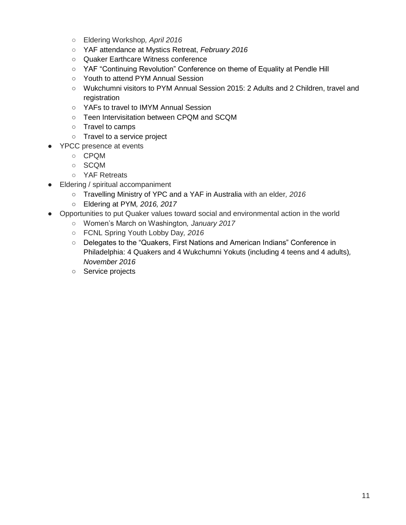- Eldering Workshop*, April 2016*
- YAF attendance at Mystics Retreat, *February 2016*
- Quaker Earthcare Witness conference
- YAF "Continuing Revolution" Conference on theme of Equality at Pendle Hill
- Youth to attend PYM Annual Session
- Wukchumni visitors to PYM Annual Session 2015: 2 Adults and 2 Children, travel and registration
- YAFs to travel to IMYM Annual Session
- Teen Intervisitation between CPQM and SCQM
- Travel to camps
- Travel to a service project
- YPCC presence at events
	- CPQM
	- SCQM
	- YAF Retreats
- Eldering / spiritual accompaniment
	- Travelling Ministry of YPC and a YAF in Australia with an elder*, 2016*
	- Eldering at PYM*, 2016, 2017*
- Opportunities to put Quaker values toward social and environmental action in the world
	- Women's March on Washington*, January 2017*
	- FCNL Spring Youth Lobby Day*, 2016*
	- Delegates to the "Quakers, First Nations and American Indians" Conference in Philadelphia: 4 Quakers and 4 Wukchumni Yokuts (including 4 teens and 4 adults)*, November 2016*
	- Service projects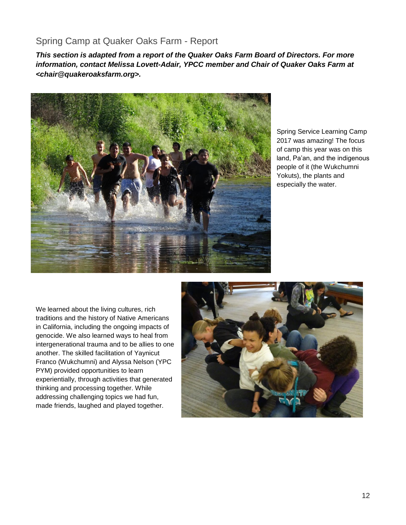## <span id="page-11-0"></span>Spring Camp at Quaker Oaks Farm - Report

*This section is adapted from a report of the Quaker Oaks Farm Board of Directors. For more information, contact Melissa Lovett-Adair, YPCC member and Chair of Quaker Oaks Farm at <chair@quakeroaksfarm.org>.*



Spring Service Learning Camp 2017 was amazing! The focus of camp this year was on this land, Pa'an, and the indigenous people of it (the Wukchumni Yokuts), the plants and especially the water.

We learned about the living cultures, rich traditions and the history of Native Americans in California, including the ongoing impacts of genocide. We also learned ways to heal from intergenerational trauma and to be allies to one another. The skilled facilitation of Yaynicut Franco (Wukchumni) and Alyssa Nelson (YPC PYM) provided opportunities to learn experientially, through activities that generated thinking and processing together. While addressing challenging topics we had fun, made friends, laughed and played together.

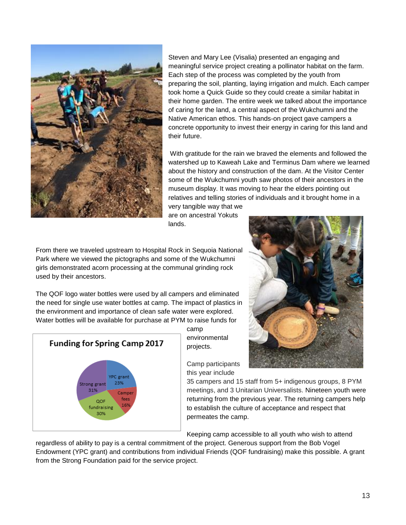

Steven and Mary Lee (Visalia) presented an engaging and meaningful service project creating a pollinator habitat on the farm. Each step of the process was completed by the youth from preparing the soil, planting, laying irrigation and mulch. Each camper took home a Quick Guide so they could create a similar habitat in their home garden. The entire week we talked about the importance of caring for the land, a central aspect of the Wukchumni and the Native American ethos. This hands-on project gave campers a concrete opportunity to invest their energy in caring for this land and their future.

With gratitude for the rain we braved the elements and followed the watershed up to Kaweah Lake and Terminus Dam where we learned about the history and construction of the dam. At the Visitor Center some of the Wukchumni youth saw photos of their ancestors in the museum display. It was moving to hear the elders pointing out relatives and telling stories of individuals and it brought home in a

very tangible way that we are on ancestral Yokuts lands.

From there we traveled upstream to Hospital Rock in Sequoia National Park where we viewed the pictographs and some of the Wukchumni girls demonstrated acorn processing at the communal grinding rock used by their ancestors.

The QOF logo water bottles were used by all campers and eliminated the need for single use water bottles at camp. The impact of plastics in the environment and importance of clean safe water were explored. Water bottles will be available for purchase at PYM to raise funds for



camp environmental projects.

Camp participants this year include

35 campers and 15 staff from 5+ indigenous groups, 8 PYM meetings, and 3 Unitarian Universalists. Nineteen youth were returning from the previous year. The returning campers help to establish the culture of acceptance and respect that permeates the camp.

Keeping camp accessible to all youth who wish to attend

regardless of ability to pay is a central commitment of the project. Generous support from the Bob Vogel Endowment (YPC grant) and contributions from individual Friends (QOF fundraising) make this possible. A grant from the Strong Foundation paid for the service project.

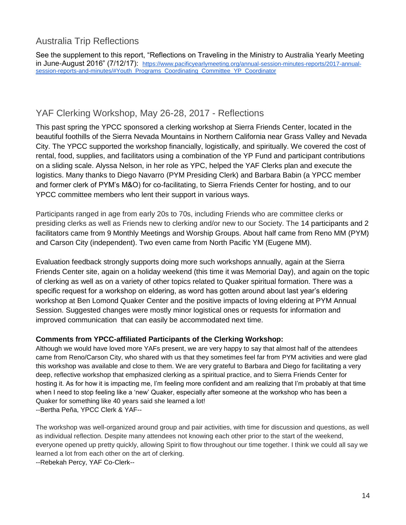# <span id="page-13-0"></span>Australia Trip Reflections

See the supplement to this report, "Reflections on Traveling in the Ministry to Australia Yearly Meeting in June-August 2016" (7/12/17): [https://www.pacificyearlymeeting.org/annual-session-minutes-reports/2017-annual](https://www.pacificyearlymeeting.org/annual-session-minutes-reports/2017-annual-session-reports-and-minutes/#Youth_Programs_Coordinating_Committee_YP_Coordinator)[session-reports-and-minutes/#Youth\\_Programs\\_Coordinating\\_Committee\\_YP\\_Coordinator](https://www.pacificyearlymeeting.org/annual-session-minutes-reports/2017-annual-session-reports-and-minutes/#Youth_Programs_Coordinating_Committee_YP_Coordinator)

## <span id="page-13-1"></span>YAF Clerking Workshop, May 26-28, 2017 - Reflections

This past spring the YPCC sponsored a clerking workshop at Sierra Friends Center, located in the beautiful foothills of the Sierra Nevada Mountains in Northern California near Grass Valley and Nevada City. The YPCC supported the workshop financially, logistically, and spiritually. We covered the cost of rental, food, supplies, and facilitators using a combination of the YP Fund and participant contributions on a sliding scale. Alyssa Nelson, in her role as YPC, helped the YAF Clerks plan and execute the logistics. Many thanks to Diego Navarro (PYM Presiding Clerk) and Barbara Babin (a YPCC member and former clerk of PYM's M&O) for co-facilitating, to Sierra Friends Center for hosting, and to our YPCC committee members who lent their support in various ways.

Participants ranged in age from early 20s to 70s, including Friends who are committee clerks or presiding clerks as well as Friends new to clerking and/or new to our Society. The 14 participants and 2 facilitators came from 9 Monthly Meetings and Worship Groups. About half came from Reno MM (PYM) and Carson City (independent). Two even came from North Pacific YM (Eugene MM).

Evaluation feedback strongly supports doing more such workshops annually, again at the Sierra Friends Center site, again on a holiday weekend (this time it was Memorial Day), and again on the topic of clerking as well as on a variety of other topics related to Quaker spiritual formation. There was a specific request for a workshop on eldering, as word has gotten around about last year's eldering workshop at Ben Lomond Quaker Center and the positive impacts of loving eldering at PYM Annual Session. Suggested changes were mostly minor logistical ones or requests for information and improved communication that can easily be accommodated next time.

#### **Comments from YPCC-affiliated Participants of the Clerking Workshop:**

Although we would have loved more YAFs present, we are very happy to say that almost half of the attendees came from Reno/Carson City, who shared with us that they sometimes feel far from PYM activities and were glad this workshop was available and close to them. We are very grateful to Barbara and Diego for facilitating a very deep, reflective workshop that emphasized clerking as a spiritual practice, and to Sierra Friends Center for hosting it. As for how it is impacting me, I'm feeling more confident and am realizing that I'm probably at that time when I need to stop feeling like a 'new' Quaker, especially after someone at the workshop who has been a Quaker for something like 40 years said she learned a lot! --Bertha Peña, YPCC Clerk & YAF--

The workshop was well-organized around group and pair activities, with time for discussion and questions, as well as individual reflection. Despite many attendees not knowing each other prior to the start of the weekend, everyone opened up pretty quickly, allowing Spirit to flow throughout our time together. I think we could all say we learned a lot from each other on the art of clerking. --Rebekah Percy, YAF Co-Clerk--